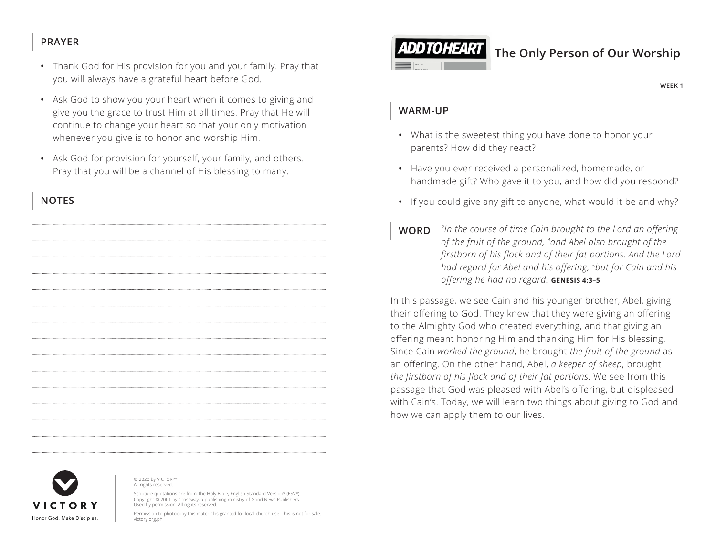## **PRAYER**

- Thank God for His provision for you and your family. Pray that you will always have a grateful heart before God.
- Ask God to show you your heart when it comes to giving and give you the grace to trust Him at all times. Pray that He will continue to change your heart so that your only motivation whenever you give is to honor and worship Him.
- Ask God for provision for yourself, your family, and others. Pray that you will be a channel of His blessing to many.

# **NOTES**



#### © 2020 by VICTORY® All rights reserved.

Scripture quotations are from The Holy Bible, English Standard Version® (ESV®) Copyright © 2001 by Crossway, a publishing ministry of Good News Publishers. Used by permission. All rights reserved.

Permission to photocopy this material is granted for local church use. This is not for sale. victory.org.ph



# **The Only Person of Our Worship**

**WEEK 1**

#### **WARM-UP**

- What is the sweetest thing you have done to honor your parents? How did they react?
- Have you ever received a personalized, homemade, or handmade gift? Who gave it to you, and how did you respond?
- If you could give any gift to anyone, what would it be and why?
- **WORD** *3In the course of time Cain brought to the Lord an offering of the fruit of the ground, 4and Abel also brought of the firstborn of his flock and of their fat portions. And the Lord had regard for Abel and his offering, 5but for Cain and his offering he had no regard. ^***GENESIS 4:3–5**

In this passage, we see Cain and his younger brother, Abel, giving their offering to God. They knew that they were giving an offering to the Almighty God who created everything, and that giving an offering meant honoring Him and thanking Him for His blessing. Since Cain *worked the ground*, he brought *the fruit of the ground* as an offering. On the other hand, Abel, *a keeper of sheep*, brought *the firstborn of his flock and of their fat portions*. We see from this passage that God was pleased with Abel's offering, but displeased with Cain's. Today, we will learn two things about giving to God and how we can apply them to our lives.